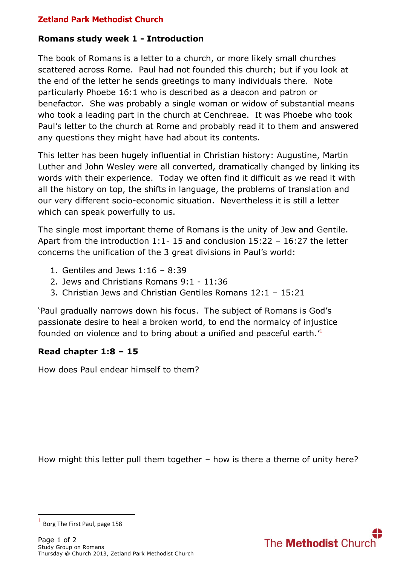# **Zetland Park Methodist Church**

### **Romans study week 1 - Introduction**

The book of Romans is a letter to a church, or more likely small churches scattered across Rome. Paul had not founded this church; but if you look at the end of the letter he sends greetings to many individuals there. Note particularly Phoebe 16:1 who is described as a deacon and patron or benefactor. She was probably a single woman or widow of substantial means who took a leading part in the church at Cenchreae. It was Phoebe who took Paul's letter to the church at Rome and probably read it to them and answered any questions they might have had about its contents.

This letter has been hugely influential in Christian history: Augustine, Martin Luther and John Wesley were all converted, dramatically changed by linking its words with their experience. Today we often find it difficult as we read it with all the history on top, the shifts in language, the problems of translation and our very different socio-economic situation. Nevertheless it is still a letter which can speak powerfully to us.

The single most important theme of Romans is the unity of Jew and Gentile. Apart from the introduction 1:1- 15 and conclusion 15:22 – 16:27 the letter concerns the unification of the 3 great divisions in Paul's world:

- 1. Gentiles and Jews 1:16 8:39
- 2. Jews and Christians Romans 9:1 11:36
- 3. Christian Jews and Christian Gentiles Romans 12:1 15:21

'Paul gradually narrows down his focus. The subject of Romans is God's passionate desire to heal a broken world, to end the normalcy of injustice founded on violence and to bring about a unified and peaceful earth.<sup>1</sup>

# **Read chapter 1:8 – 15**

How does Paul endear himself to them?

How might this letter pull them together – how is there a theme of unity here?

**.** 



<sup>1</sup> Borg The First Paul, page 158